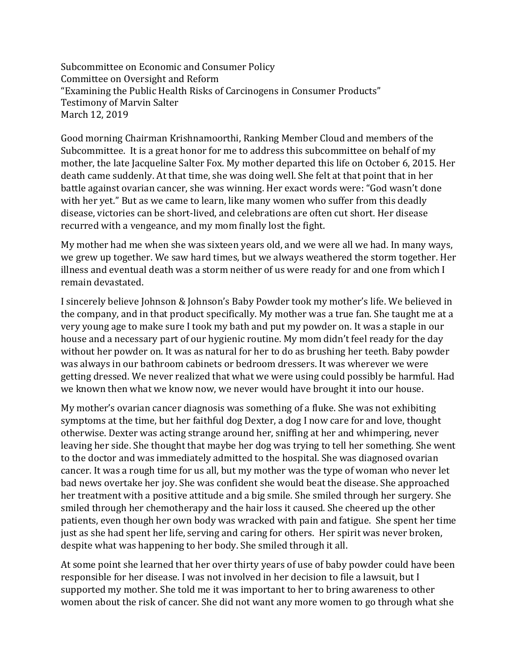Subcommittee on Economic and Consumer Policy Committee on Oversight and Reform "Examining the Public Health Risks of Carcinogens in Consumer Products" Testimony of Marvin Salter March 12, 2019

Good morning Chairman Krishnamoorthi, Ranking Member Cloud and members of the Subcommittee. It is a great honor for me to address this subcommittee on behalf of my mother, the late Jacqueline Salter Fox. My mother departed this life on October 6, 2015. Her death came suddenly. At that time, she was doing well. She felt at that point that in her battle against ovarian cancer, she was winning. Her exact words were: "God wasn't done with her yet." But as we came to learn, like many women who suffer from this deadly disease, victories can be short-lived, and celebrations are often cut short. Her disease recurred with a vengeance, and my mom finally lost the fight.

My mother had me when she was sixteen years old, and we were all we had. In many ways, we grew up together. We saw hard times, but we always weathered the storm together. Her illness and eventual death was a storm neither of us were ready for and one from which I remain devastated.

I sincerely believe Johnson & Johnson's Baby Powder took my mother's life. We believed in the company, and in that product specifically. My mother was a true fan. She taught me at a very young age to make sure I took my bath and put my powder on. It was a staple in our house and a necessary part of our hygienic routine. My mom didn't feel ready for the day without her powder on. It was as natural for her to do as brushing her teeth. Baby powder was always in our bathroom cabinets or bedroom dressers. It was wherever we were getting dressed. We never realized that what we were using could possibly be harmful. Had we known then what we know now, we never would have brought it into our house.

My mother's ovarian cancer diagnosis was something of a fluke. She was not exhibiting symptoms at the time, but her faithful dog Dexter, a dog I now care for and love, thought otherwise. Dexter was acting strange around her, sniffing at her and whimpering, never leaving her side. She thought that maybe her dog was trying to tell her something. She went to the doctor and was immediately admitted to the hospital. She was diagnosed ovarian cancer. It was a rough time for us all, but my mother was the type of woman who never let bad news overtake her joy. She was confident she would beat the disease. She approached her treatment with a positive attitude and a big smile. She smiled through her surgery. She smiled through her chemotherapy and the hair loss it caused. She cheered up the other patients, even though her own body was wracked with pain and fatigue. She spent her time just as she had spent her life, serving and caring for others. Her spirit was never broken, despite what was happening to her body. She smiled through it all.

At some point she learned that her over thirty years of use of baby powder could have been responsible for her disease. I was not involved in her decision to file a lawsuit, but I supported my mother. She told me it was important to her to bring awareness to other women about the risk of cancer. She did not want any more women to go through what she